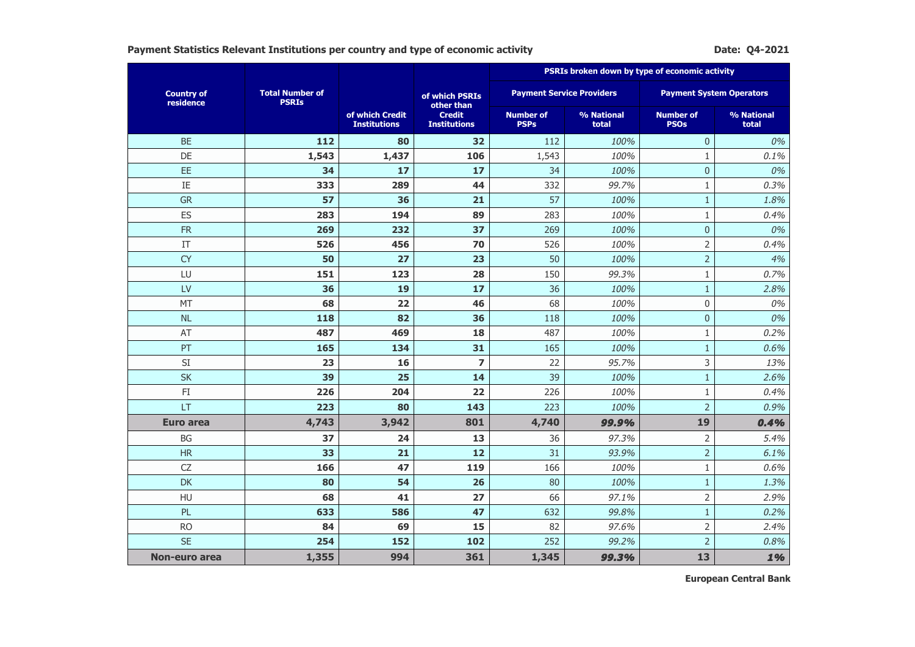**Payment Statistics Relevant Institutions per country and type of economic activity <b>Dater Activity** Date: Q4-2021

|                                |                                        |                                        |                                      | PSRIs broken down by type of economic activity |                     |                                 |                                 |  |  |
|--------------------------------|----------------------------------------|----------------------------------------|--------------------------------------|------------------------------------------------|---------------------|---------------------------------|---------------------------------|--|--|
| <b>Country of</b><br>residence | <b>Total Number of</b><br><b>PSRIs</b> |                                        | of which PSRIs<br>other than         | <b>Payment Service Providers</b>               |                     |                                 | <b>Payment System Operators</b> |  |  |
|                                |                                        | of which Credit<br><b>Institutions</b> | <b>Credit</b><br><b>Institutions</b> | <b>Number of</b><br><b>PSPs</b>                | % National<br>total | <b>Number of</b><br><b>PSOs</b> | % National<br>total             |  |  |
| <b>BE</b>                      | 112                                    | 80                                     | 32                                   | 112                                            | 100%                | $\mathbf{0}$                    | 0%                              |  |  |
| DE                             | 1,543                                  | 1,437                                  | 106                                  | 1,543                                          | 100%                | $\mathbf{1}$                    | 0.1%                            |  |  |
| EE                             | 34                                     | 17                                     | 17                                   | 34                                             | 100%                | $\pmb{0}$                       | 0%                              |  |  |
| $\rm IE$                       | 333                                    | 289                                    | 44                                   | 332                                            | 99.7%               | $\,1\,$                         | 0.3%                            |  |  |
| <b>GR</b>                      | 57                                     | 36                                     | 21                                   | 57                                             | 100%                | $\mathbf{1}$                    | 1.8%                            |  |  |
| ES                             | 283                                    | 194                                    | 89                                   | 283                                            | 100%                | $1\,$                           | 0.4%                            |  |  |
| <b>FR</b>                      | 269                                    | 232                                    | 37                                   | 269                                            | 100%                | $\boldsymbol{0}$                | 0%                              |  |  |
| IT                             | 526                                    | 456                                    | 70                                   | 526                                            | 100%                | $\overline{2}$                  | 0.4%                            |  |  |
| <b>CY</b>                      | 50                                     | 27                                     | 23                                   | 50                                             | 100%                | $\overline{2}$                  | 4%                              |  |  |
| LU                             | 151                                    | 123                                    | 28                                   | 150                                            | 99.3%               | $\mathbf{1}$                    | 0.7%                            |  |  |
| LV                             | 36                                     | 19                                     | 17                                   | 36                                             | 100%                | $\,1\,$                         | 2.8%                            |  |  |
| MT                             | 68                                     | 22                                     | 46                                   | 68                                             | 100%                | $\mathbf 0$                     | 0%                              |  |  |
| <b>NL</b>                      | 118                                    | 82                                     | 36                                   | 118                                            | 100%                | $\overline{0}$                  | 0%                              |  |  |
| AT                             | 487                                    | 469                                    | 18                                   | 487                                            | 100%                | $1\,$                           | 0.2%                            |  |  |
| PT                             | 165                                    | 134                                    | 31                                   | 165                                            | 100%                | $\mathbf{1}$                    | 0.6%                            |  |  |
| SI                             | 23                                     | 16                                     | $\overline{z}$                       | 22                                             | 95.7%               | 3                               | 13%                             |  |  |
| <b>SK</b>                      | 39                                     | 25                                     | 14                                   | 39                                             | 100%                | $\mathbf{1}$                    | 2.6%                            |  |  |
| FI                             | 226                                    | 204                                    | 22                                   | 226                                            | 100%                | $\mathbf{1}$                    | 0.4%                            |  |  |
| <b>LT</b>                      | 223                                    | 80                                     | 143                                  | 223                                            | 100%                | $\overline{2}$                  | 0.9%                            |  |  |
| <b>Euro area</b>               | 4,743                                  | 3,942                                  | 801                                  | 4,740                                          | 99.9%               | 19                              | 0.4%                            |  |  |
| <b>BG</b>                      | 37                                     | 24                                     | 13                                   | 36                                             | 97.3%               | $\overline{2}$                  | 5.4%                            |  |  |
| <b>HR</b>                      | 33                                     | 21                                     | 12                                   | 31                                             | 93.9%               | $\overline{2}$                  | 6.1%                            |  |  |
| CZ                             | 166                                    | 47                                     | 119                                  | 166                                            | 100%                | $\mathbf{1}$                    | 0.6%                            |  |  |
| <b>DK</b>                      | 80                                     | 54                                     | 26                                   | 80                                             | 100%                | $1\,$                           | 1.3%                            |  |  |
| HU                             | 68                                     | 41                                     | 27                                   | 66                                             | 97.1%               | $\overline{2}$                  | 2.9%                            |  |  |
| PL                             | 633                                    | 586                                    | 47                                   | 632                                            | 99.8%               | $\,1\,$                         | 0.2%                            |  |  |
| <b>RO</b>                      | 84                                     | 69                                     | 15                                   | 82                                             | 97.6%               | $\overline{2}$                  | 2.4%                            |  |  |
| <b>SE</b>                      | 254                                    | 152                                    | 102                                  | 252                                            | 99.2%               | $\overline{2}$                  | 0.8%                            |  |  |
| Non-euro area                  | 1,355                                  | 994                                    | 361                                  | 1,345                                          | 99.3%               | 13                              | 1%                              |  |  |

**European Central Bank**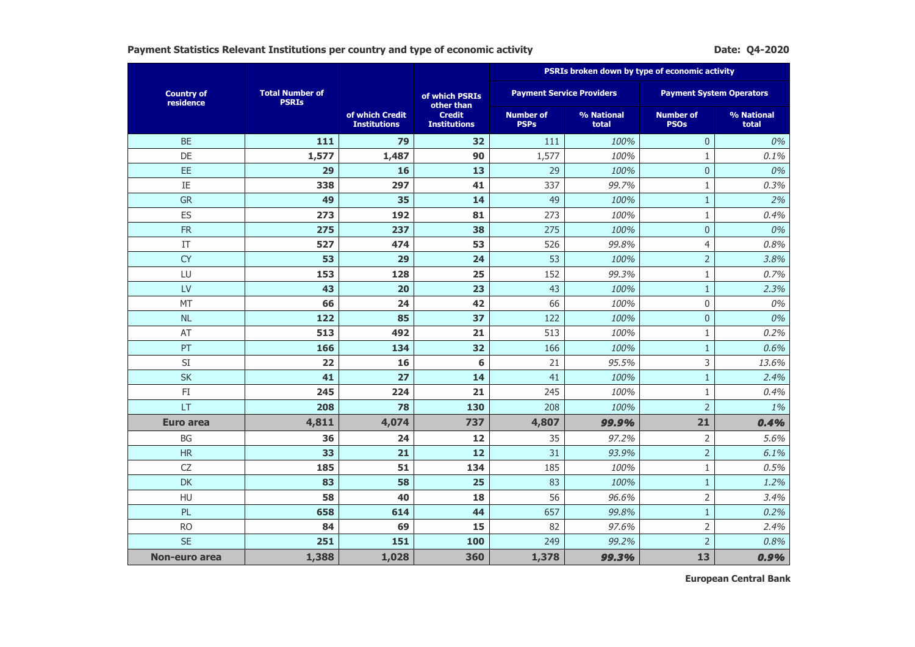**Payment Statistics Relevant Institutions per country and type of economic activity <b>Dater and Statistics** Date: Q4-2020

|                                |                                        |                                        |                                      | PSRIs broken down by type of economic activity |                     |                                 |                     |  |  |
|--------------------------------|----------------------------------------|----------------------------------------|--------------------------------------|------------------------------------------------|---------------------|---------------------------------|---------------------|--|--|
| <b>Country of</b><br>residence | <b>Total Number of</b><br><b>PSRIs</b> |                                        | of which PSRIs<br>other than         | <b>Payment Service Providers</b>               |                     | <b>Payment System Operators</b> |                     |  |  |
|                                |                                        | of which Credit<br><b>Institutions</b> | <b>Credit</b><br><b>Institutions</b> | <b>Number of</b><br><b>PSPs</b>                | % National<br>total | <b>Number of</b><br><b>PSOs</b> | % National<br>total |  |  |
| <b>BE</b>                      | 111                                    | 79                                     | 32                                   | 111                                            | 100%                | $\mathbf{0}$                    | 0%                  |  |  |
| DE                             | 1,577                                  | 1,487                                  | 90                                   | 1,577                                          | 100%                | $\mathbf{1}$                    | 0.1%                |  |  |
| EE                             | 29                                     | 16                                     | 13                                   | 29                                             | 100%                | $\pmb{0}$                       | 0%                  |  |  |
| IE                             | 338                                    | 297                                    | 41                                   | 337                                            | 99.7%               | $1\,$                           | 0.3%                |  |  |
| GR                             | 49                                     | 35                                     | 14                                   | 49                                             | 100%                | $1\,$                           | 2%                  |  |  |
| ES                             | 273                                    | 192                                    | 81                                   | 273                                            | 100%                | $1\,$                           | 0.4%                |  |  |
| <b>FR</b>                      | 275                                    | 237                                    | 38                                   | 275                                            | 100%                | $\mathbf 0$                     | 0%                  |  |  |
| IT                             | 527                                    | 474                                    | 53                                   | 526                                            | 99.8%               | $\overline{4}$                  | 0.8%                |  |  |
| <b>CY</b>                      | 53                                     | 29                                     | 24                                   | 53                                             | 100%                | $\overline{2}$                  | 3.8%                |  |  |
| LU                             | 153                                    | 128                                    | 25                                   | 152                                            | 99.3%               | $\mathbf{1}$                    | 0.7%                |  |  |
| LV                             | 43                                     | 20                                     | 23                                   | 43                                             | 100%                | $\,1\,$                         | 2.3%                |  |  |
| MT                             | 66                                     | 24                                     | 42                                   | 66                                             | 100%                | $\mathbf 0$                     | 0%                  |  |  |
| <b>NL</b>                      | 122                                    | 85                                     | 37                                   | 122                                            | 100%                | $\overline{0}$                  | 0%                  |  |  |
| AT                             | 513                                    | 492                                    | 21                                   | 513                                            | 100%                | $1\,$                           | 0.2%                |  |  |
| PT                             | 166                                    | 134                                    | 32                                   | 166                                            | 100%                | $\mathbf{1}$                    | 0.6%                |  |  |
| SI                             | 22                                     | 16                                     | 6                                    | 21                                             | 95.5%               | 3                               | 13.6%               |  |  |
| <b>SK</b>                      | 41                                     | 27                                     | 14                                   | 41                                             | 100%                | $\mathbf{1}$                    | 2.4%                |  |  |
| FI                             | 245                                    | 224                                    | 21                                   | 245                                            | 100%                | $\mathbf{1}$                    | 0.4%                |  |  |
| LT                             | 208                                    | 78                                     | 130                                  | 208                                            | 100%                | $\overline{2}$                  | 1%                  |  |  |
| <b>Euro area</b>               | 4,811                                  | 4,074                                  | 737                                  | 4,807                                          | 99.9%               | 21                              | 0.4%                |  |  |
| <b>BG</b>                      | 36                                     | 24                                     | 12                                   | 35                                             | 97.2%               | $\overline{2}$                  | 5.6%                |  |  |
| <b>HR</b>                      | 33                                     | 21                                     | 12                                   | 31                                             | 93.9%               | $\overline{2}$                  | 6.1%                |  |  |
| CZ                             | 185                                    | 51                                     | 134                                  | 185                                            | 100%                | $1\,$                           | 0.5%                |  |  |
| <b>DK</b>                      | 83                                     | 58                                     | 25                                   | 83                                             | 100%                | $1\,$                           | 1.2%                |  |  |
| HU                             | 58                                     | 40                                     | 18                                   | 56                                             | 96.6%               | $\overline{2}$                  | 3.4%                |  |  |
| PL                             | 658                                    | 614                                    | 44                                   | 657                                            | 99.8%               | $\mathbf{1}$                    | 0.2%                |  |  |
| <b>RO</b>                      | 84                                     | 69                                     | 15                                   | 82                                             | 97.6%               | $\overline{2}$                  | 2.4%                |  |  |
| <b>SE</b>                      | 251                                    | 151                                    | 100                                  | 249                                            | 99.2%               | $\overline{2}$                  | 0.8%                |  |  |
| Non-euro area                  | 1,388                                  | 1,028                                  | 360                                  | 1,378                                          | 99.3%               | 13                              | 0.9%                |  |  |

**European Central Bank**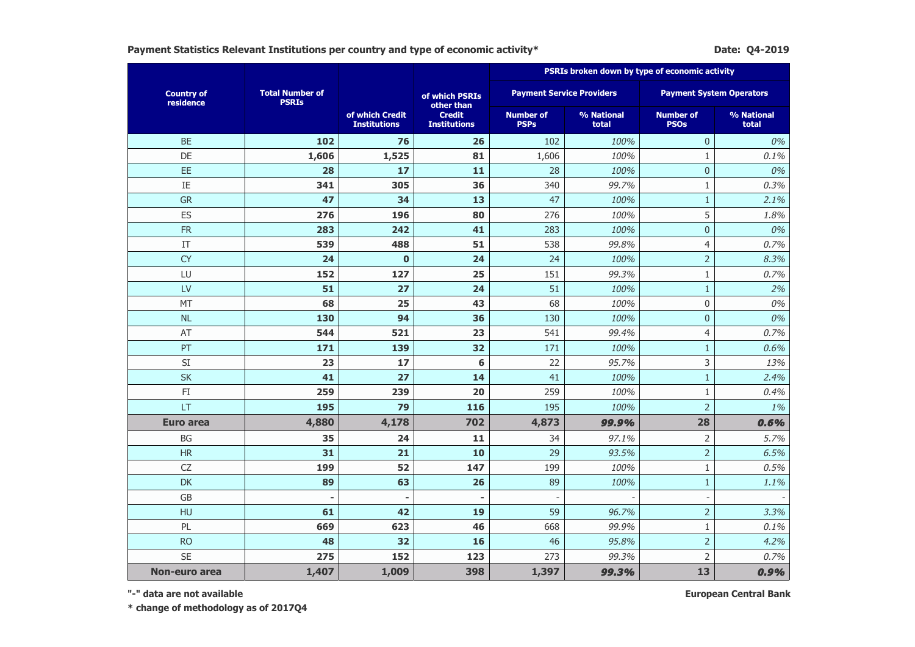Payment Statistics Relevant Institutions per country and type of economic activity\* **Datems and Except Activity Date: Q4-2019** 

|                                |                                        |                                        |                                      | PSRIs broken down by type of economic activity |                                  |                                 |                     |  |  |
|--------------------------------|----------------------------------------|----------------------------------------|--------------------------------------|------------------------------------------------|----------------------------------|---------------------------------|---------------------|--|--|
| <b>Country of</b><br>residence | <b>Total Number of</b><br><b>PSRIs</b> |                                        | of which PSRIs<br>other than         |                                                | <b>Payment Service Providers</b> | <b>Payment System Operators</b> |                     |  |  |
|                                |                                        | of which Credit<br><b>Institutions</b> | <b>Credit</b><br><b>Institutions</b> | <b>Number of</b><br><b>PSPs</b>                | % National<br>total              | <b>Number of</b><br><b>PSOs</b> | % National<br>total |  |  |
| <b>BE</b>                      | 102                                    | 76                                     | 26                                   | 102                                            | 100%                             | $\overline{0}$                  | 0%                  |  |  |
| DE                             | 1,606                                  | 1,525                                  | 81                                   | 1,606                                          | 100%                             | $\mathbf{1}$                    | 0.1%                |  |  |
| EE                             | 28                                     | 17                                     | 11                                   | 28                                             | 100%                             | $\mathbf 0$                     | 0%                  |  |  |
| $\rm IE$                       | 341                                    | 305                                    | 36                                   | 340                                            | 99.7%                            | $\,1\,$                         | 0.3%                |  |  |
| <b>GR</b>                      | 47                                     | 34                                     | 13                                   | 47                                             | 100%                             | $\,1\,$                         | 2.1%                |  |  |
| ES                             | 276                                    | 196                                    | 80                                   | 276                                            | 100%                             | 5                               | 1.8%                |  |  |
| <b>FR</b>                      | 283                                    | 242                                    | 41                                   | 283                                            | 100%                             | $\mathbf 0$                     | 0%                  |  |  |
| IT                             | 539                                    | 488                                    | 51                                   | 538                                            | 99.8%                            | $\overline{4}$                  | 0.7%                |  |  |
| <b>CY</b>                      | 24                                     | $\bf{0}$                               | 24                                   | 24                                             | 100%                             | $\overline{2}$                  | 8.3%                |  |  |
| LU                             | 152                                    | 127                                    | 25                                   | 151                                            | 99.3%                            | $\mathbf{1}$                    | 0.7%                |  |  |
| LV                             | 51                                     | 27                                     | 24                                   | 51                                             | 100%                             | $\mathbf{1}$                    | 2%                  |  |  |
| MT                             | 68                                     | 25                                     | 43                                   | 68                                             | 100%                             | $\mathbf 0$                     | 0%                  |  |  |
| NL                             | 130                                    | 94                                     | 36                                   | 130                                            | 100%                             | $\mathbf 0$                     | 0%                  |  |  |
| AT                             | 544                                    | 521                                    | 23                                   | 541                                            | 99.4%                            | $\overline{4}$                  | 0.7%                |  |  |
| PT                             | 171                                    | 139                                    | 32                                   | 171                                            | 100%                             | $\mathbf{1}$                    | 0.6%                |  |  |
| SI                             | 23                                     | 17                                     | 6                                    | 22                                             | 95.7%                            | 3                               | 13%                 |  |  |
| <b>SK</b>                      | 41                                     | 27                                     | 14                                   | 41                                             | 100%                             | $\mathbf{1}$                    | 2.4%                |  |  |
| $\mathsf{F}\mathbf{I}$         | 259                                    | 239                                    | 20                                   | 259                                            | 100%                             | $\mathbf{1}$                    | 0.4%                |  |  |
| LT                             | 195                                    | 79                                     | 116                                  | 195                                            | 100%                             | $\overline{2}$                  | 1%                  |  |  |
| Euro area                      | 4,880                                  | 4,178                                  | 702                                  | 4,873                                          | 99.9%                            | 28                              | 0.6%                |  |  |
| <b>BG</b>                      | 35                                     | 24                                     | 11                                   | 34                                             | 97.1%                            | $\overline{2}$                  | 5.7%                |  |  |
| <b>HR</b>                      | 31                                     | 21                                     | 10                                   | 29                                             | 93.5%                            | $\overline{2}$                  | 6.5%                |  |  |
| <b>CZ</b>                      | 199                                    | 52                                     | 147                                  | 199                                            | 100%                             | $\mathbf{1}$                    | 0.5%                |  |  |
| <b>DK</b>                      | 89                                     | 63                                     | 26                                   | 89                                             | 100%                             | $\mathbf{1}$                    | 1.1%                |  |  |
| <b>GB</b>                      | ٠                                      | ä,                                     | ۰                                    | $\overline{\phantom{a}}$                       |                                  | $\overline{\phantom{a}}$        |                     |  |  |
| HU                             | 61                                     | 42                                     | 19                                   | 59                                             | 96.7%                            | $\overline{2}$                  | 3.3%                |  |  |
| PL                             | 669                                    | 623                                    | 46                                   | 668                                            | 99.9%                            | $1\,$                           | 0.1%                |  |  |
| <b>RO</b>                      | 48                                     | 32                                     | 16                                   | 46                                             | 95.8%                            | $\overline{2}$                  | 4.2%                |  |  |
| <b>SE</b>                      | 275                                    | 152                                    | 123                                  | 273                                            | 99.3%                            | $\overline{2}$                  | 0.7%                |  |  |
| Non-euro area                  | 1,407                                  | 1,009                                  | 398                                  | 1,397                                          | 99.3%                            | 13                              | 0.9%                |  |  |

**"-" data are not available**

**European Central Bank**

**\* change of methodology as of 2017Q4**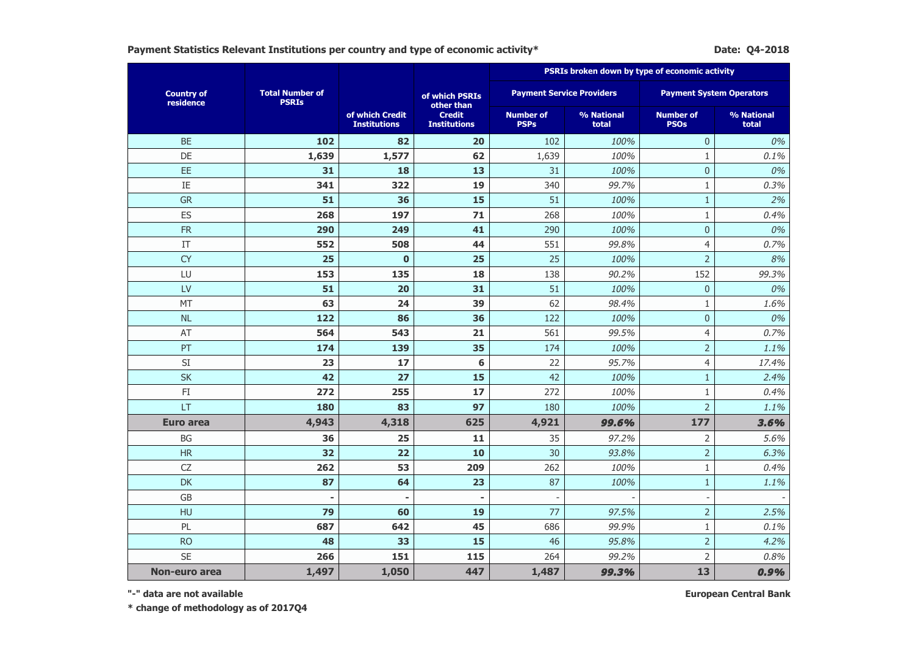Payment Statistics Relevant Institutions per country and type of economic activity\* **Datems and Except Activity Date: Q4-2018** 

|                                |                                        |                                        |                                      | PSRIs broken down by type of economic activity |                                  |                                 |                     |
|--------------------------------|----------------------------------------|----------------------------------------|--------------------------------------|------------------------------------------------|----------------------------------|---------------------------------|---------------------|
| <b>Country of</b><br>residence | <b>Total Number of</b><br><b>PSRIs</b> |                                        | of which PSRIs<br>other than         |                                                | <b>Payment Service Providers</b> | <b>Payment System Operators</b> |                     |
|                                |                                        | of which Credit<br><b>Institutions</b> | <b>Credit</b><br><b>Institutions</b> | <b>Number of</b><br><b>PSPs</b>                | % National<br>total              | <b>Number of</b><br><b>PSOs</b> | % National<br>total |
| <b>BE</b>                      | 102                                    | 82                                     | 20                                   | 102                                            | 100%                             | $\overline{0}$                  | 0%                  |
| DE                             | 1,639                                  | 1,577                                  | 62                                   | 1,639                                          | 100%                             | 1                               | 0.1%                |
| EE                             | 31                                     | 18                                     | 13                                   | 31                                             | 100%                             | $\overline{0}$                  | 0%                  |
| IE                             | 341                                    | 322                                    | 19                                   | 340                                            | 99.7%                            | $\mathbf{1}$                    | 0.3%                |
| <b>GR</b>                      | 51                                     | 36                                     | 15                                   | 51                                             | 100%                             | $\mathbf{1}$                    | 2%                  |
| ES                             | 268                                    | 197                                    | $71$                                 | 268                                            | 100%                             | $\mathbf{1}$                    | 0.4%                |
| <b>FR</b>                      | 290                                    | 249                                    | 41                                   | 290                                            | 100%                             | $\mathbf 0$                     | 0%                  |
| IT                             | 552                                    | 508                                    | 44                                   | 551                                            | 99.8%                            | 4                               | 0.7%                |
| <b>CY</b>                      | 25                                     | $\mathbf 0$                            | 25                                   | 25                                             | 100%                             | $\overline{2}$                  | 8%                  |
| LU                             | 153                                    | 135                                    | 18                                   | 138                                            | 90.2%                            | 152                             | 99.3%               |
| LV                             | 51                                     | 20                                     | 31                                   | 51                                             | 100%                             | $\mathbf 0$                     | 0%                  |
| MT                             | 63                                     | 24                                     | 39                                   | 62                                             | 98.4%                            | $\mathbf{1}$                    | 1.6%                |
| <b>NL</b>                      | 122                                    | 86                                     | 36                                   | 122                                            | 100%                             | $\mathbf 0$                     | 0%                  |
| AT                             | 564                                    | 543                                    | 21                                   | 561                                            | 99.5%                            | 4                               | 0.7%                |
| PT                             | 174                                    | 139                                    | 35                                   | 174                                            | 100%                             | $\overline{2}$                  | 1.1%                |
| $\mathsf{SI}$                  | 23                                     | 17                                     | 6                                    | 22                                             | 95.7%                            | 4                               | 17.4%               |
| <b>SK</b>                      | 42                                     | 27                                     | 15                                   | 42                                             | 100%                             | $\mathbf{1}$                    | 2.4%                |
| $\mathsf{F}\mathbf{I}$         | 272                                    | 255                                    | 17                                   | 272                                            | 100%                             | $\mathbf{1}$                    | 0.4%                |
| LT                             | 180                                    | 83                                     | 97                                   | 180                                            | 100%                             | $\overline{2}$                  | 1.1%                |
| <b>Euro area</b>               | 4,943                                  | 4,318                                  | 625                                  | 4,921                                          | 99.6%                            | 177                             | 3.6%                |
| BG                             | 36                                     | 25                                     | 11                                   | 35                                             | 97.2%                            | $\overline{2}$                  | 5.6%                |
| <b>HR</b>                      | 32                                     | 22                                     | 10                                   | 30                                             | 93.8%                            | $\overline{2}$                  | 6.3%                |
| CZ                             | 262                                    | 53                                     | 209                                  | 262                                            | 100%                             | 1                               | 0.4%                |
| DK                             | 87                                     | 64                                     | 23                                   | 87                                             | 100%                             | $\mathbf{1}$                    | 1.1%                |
| GB                             |                                        | $\blacksquare$                         |                                      |                                                |                                  | $\overline{\phantom{a}}$        |                     |
| HU                             | 79                                     | 60                                     | 19                                   | 77                                             | 97.5%                            | $\overline{2}$                  | 2.5%                |
| PL                             | 687                                    | 642                                    | 45                                   | 686                                            | 99.9%                            | $\mathbf{1}$                    | 0.1%                |
| <b>RO</b>                      | 48                                     | 33                                     | 15                                   | 46                                             | 95.8%                            | $\overline{2}$                  | 4.2%                |
| <b>SE</b>                      | 266                                    | 151                                    | 115                                  | 264                                            | 99.2%                            | $\overline{2}$                  | 0.8%                |
| Non-euro area                  | 1,497                                  | 1,050                                  | 447                                  | 1,487                                          | 99.3%                            | 13                              | 0.9%                |

**"-" data are not available**

**European Central Bank**

**\* change of methodology as of 2017Q4**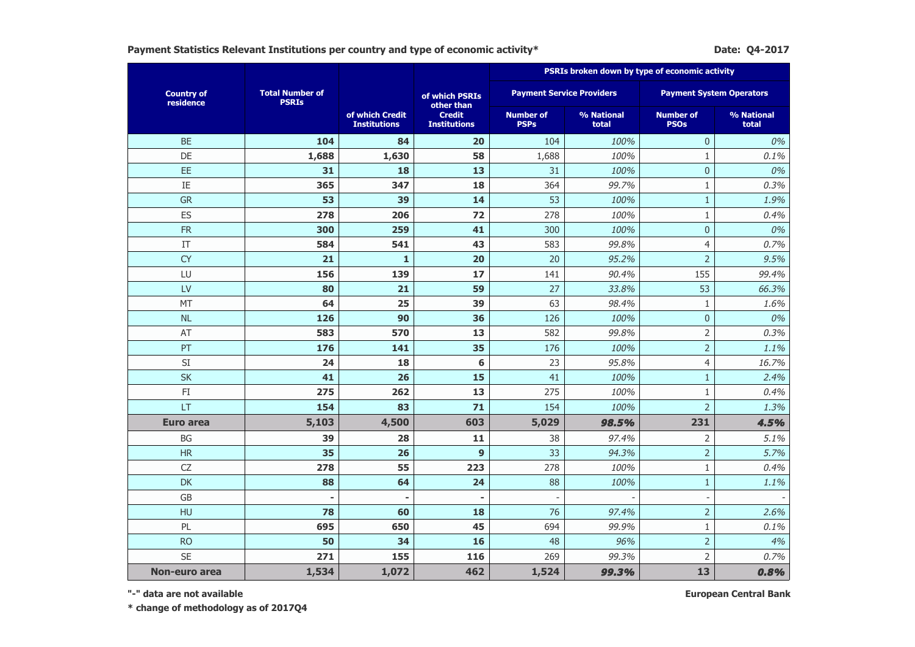Payment Statistics Relevant Institutions per country and type of economic activity\* **Date: 2017** Date: Q4-2017

|                                |                                        |                                        |                                      |                                 |                                  | PSRIs broken down by type of economic activity |                     |  |  |
|--------------------------------|----------------------------------------|----------------------------------------|--------------------------------------|---------------------------------|----------------------------------|------------------------------------------------|---------------------|--|--|
| <b>Country of</b><br>residence | <b>Total Number of</b><br><b>PSRIs</b> |                                        | of which PSRIs<br>other than         |                                 | <b>Payment Service Providers</b> | <b>Payment System Operators</b>                |                     |  |  |
|                                |                                        | of which Credit<br><b>Institutions</b> | <b>Credit</b><br><b>Institutions</b> | <b>Number of</b><br><b>PSPs</b> | % National<br>total              | <b>Number of</b><br><b>PSOs</b>                | % National<br>total |  |  |
| <b>BE</b>                      | 104                                    | 84                                     | 20                                   | 104                             | 100%                             | $\overline{0}$                                 | 0%                  |  |  |
| DE                             | 1,688                                  | 1,630                                  | 58                                   | 1,688                           | 100%                             | $\mathbf{1}$                                   | 0.1%                |  |  |
| EE                             | 31                                     | 18                                     | 13                                   | 31                              | 100%                             | $\mathbf 0$                                    | 0%                  |  |  |
| IE                             | 365                                    | 347                                    | 18                                   | 364                             | 99.7%                            | $\mathbf{1}$                                   | 0.3%                |  |  |
| <b>GR</b>                      | 53                                     | 39                                     | 14                                   | 53                              | 100%                             | $\mathbf{1}$                                   | 1.9%                |  |  |
| ES                             | 278                                    | 206                                    | 72                                   | 278                             | 100%                             | $\mathbf{1}$                                   | 0.4%                |  |  |
| <b>FR</b>                      | 300                                    | 259                                    | 41                                   | 300                             | 100%                             | $\mathbf 0$                                    | 0%                  |  |  |
| IT                             | 584                                    | 541                                    | 43                                   | 583                             | 99.8%                            | $\overline{4}$                                 | 0.7%                |  |  |
| <b>CY</b>                      | 21                                     | $\mathbf{1}$                           | 20                                   | 20                              | 95.2%                            | $\overline{2}$                                 | 9.5%                |  |  |
| LU                             | 156                                    | 139                                    | 17                                   | 141                             | 90.4%                            | 155                                            | 99.4%               |  |  |
| LV                             | 80                                     | 21                                     | 59                                   | 27                              | 33.8%                            | 53                                             | 66.3%               |  |  |
| MT                             | 64                                     | 25                                     | 39                                   | 63                              | 98.4%                            | $\mathbf{1}$                                   | 1.6%                |  |  |
| <b>NL</b>                      | 126                                    | 90                                     | 36                                   | 126                             | 100%                             | $\pmb{0}$                                      | 0%                  |  |  |
| AT                             | 583                                    | 570                                    | 13                                   | 582                             | 99.8%                            | $\overline{2}$                                 | 0.3%                |  |  |
| PT                             | 176                                    | 141                                    | 35                                   | 176                             | 100%                             | $\overline{2}$                                 | 1.1%                |  |  |
| $\mathsf{SI}$                  | 24                                     | 18                                     | 6                                    | 23                              | 95.8%                            | $\overline{4}$                                 | 16.7%               |  |  |
| <b>SK</b>                      | 41                                     | 26                                     | 15                                   | 41                              | 100%                             | $\mathbf{1}$                                   | 2.4%                |  |  |
| $\mathsf{FI}$                  | 275                                    | 262                                    | 13                                   | 275                             | 100%                             | $\mathbf{1}$                                   | 0.4%                |  |  |
| LT                             | 154                                    | 83                                     | 71                                   | 154                             | 100%                             | $\overline{2}$                                 | 1.3%                |  |  |
| <b>Euro area</b>               | 5,103                                  | 4,500                                  | 603                                  | 5,029                           | 98.5%                            | 231                                            | 4.5%                |  |  |
| <b>BG</b>                      | 39                                     | 28                                     | 11                                   | 38                              | 97.4%                            | $\overline{2}$                                 | 5.1%                |  |  |
| <b>HR</b>                      | 35                                     | 26                                     | $\overline{9}$                       | 33                              | 94.3%                            | $\overline{2}$                                 | 5.7%                |  |  |
| <b>CZ</b>                      | 278                                    | 55                                     | 223                                  | 278                             | 100%                             | $\mathbf{1}$                                   | 0.4%                |  |  |
| <b>DK</b>                      | 88                                     | 64                                     | 24                                   | 88                              | 100%                             | $\mathbf{1}$                                   | 1.1%                |  |  |
| <b>GB</b>                      | ٠                                      | $\blacksquare$                         |                                      |                                 |                                  | $\overline{\phantom{a}}$                       |                     |  |  |
| HU                             | 78                                     | 60                                     | 18                                   | 76                              | 97.4%                            | $\overline{2}$                                 | 2.6%                |  |  |
| PL                             | 695                                    | 650                                    | 45                                   | 694                             | 99.9%                            | $1\,$                                          | 0.1%                |  |  |
| <b>RO</b>                      | 50                                     | 34                                     | 16                                   | 48                              | 96%                              | $\overline{2}$                                 | 4%                  |  |  |
| <b>SE</b>                      | 271                                    | 155                                    | 116                                  | 269                             | 99.3%                            | $\overline{2}$                                 | 0.7%                |  |  |
| Non-euro area                  | 1,534                                  | 1,072                                  | 462                                  | 1,524                           | 99.3%                            | 13                                             | 0.8%                |  |  |

**"-" data are not available**

**European Central Bank**

**\* change of methodology as of 2017Q4**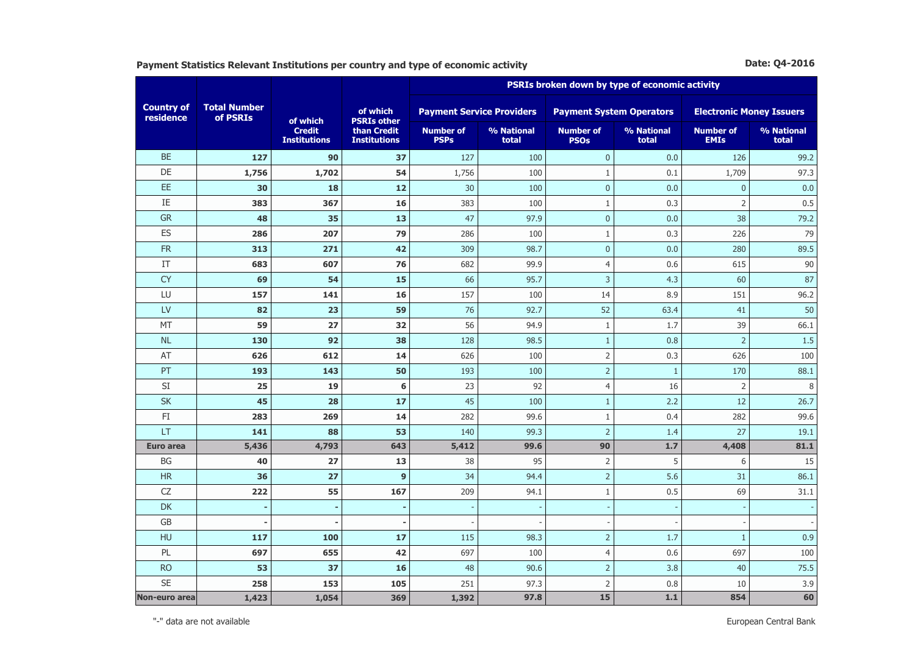**Payment Statistics Relevant Institutions per country and type of economic activity <b>Date: 2016** Date: Q4-2016

|                                |                                 |                                      |                                    | PSRIs broken down by type of economic activity |                     |                                 |                     |                                 |                     |  |
|--------------------------------|---------------------------------|--------------------------------------|------------------------------------|------------------------------------------------|---------------------|---------------------------------|---------------------|---------------------------------|---------------------|--|
| <b>Country of</b><br>residence | <b>Total Number</b><br>of PSRIs | of which                             | of which<br><b>PSRIs other</b>     | <b>Payment Service Providers</b>               |                     | <b>Payment System Operators</b> |                     | <b>Electronic Money Issuers</b> |                     |  |
|                                |                                 | <b>Credit</b><br><b>Institutions</b> | than Credit<br><b>Institutions</b> | <b>Number of</b><br><b>PSPs</b>                | % National<br>total | <b>Number of</b><br><b>PSOs</b> | % National<br>total | <b>Number of</b><br><b>EMIs</b> | % National<br>total |  |
| <b>BE</b>                      | 127                             | 90                                   | 37                                 | 127                                            | 100                 | $\mathbf{0}$                    | 0.0                 | 126                             | 99.2                |  |
| DE                             | 1,756                           | 1,702                                | 54                                 | 1,756                                          | 100                 | $\mathbf{1}$                    | 0.1                 | 1,709                           | 97.3                |  |
| EE                             | 30                              | 18                                   | 12                                 | 30                                             | 100                 | $\pmb{0}$                       | 0.0                 | $\mathbf{0}$                    | 0.0                 |  |
| IE                             | 383                             | 367                                  | 16                                 | 383                                            | 100                 | $\mathbf{1}$                    | 0.3                 | $\overline{2}$                  | 0.5                 |  |
| <b>GR</b>                      | 48                              | 35                                   | 13                                 | 47                                             | 97.9                | $\mathbf{0}$                    | 0.0                 | 38                              | 79.2                |  |
| ES                             | 286                             | 207                                  | 79                                 | 286                                            | 100                 | $\mathbf{1}$                    | 0.3                 | 226                             | 79                  |  |
| <b>FR</b>                      | 313                             | 271                                  | 42                                 | 309                                            | 98.7                | $\mathbf{0}$                    | 0.0                 | 280                             | 89.5                |  |
| IT                             | 683                             | 607                                  | 76                                 | 682                                            | 99.9                | $\overline{4}$                  | 0.6                 | 615                             | 90                  |  |
| <b>CY</b>                      | 69                              | 54                                   | 15                                 | 66                                             | 95.7                | $\overline{3}$                  | 4.3                 | 60                              | 87                  |  |
| LU                             | 157                             | 141                                  | 16                                 | 157                                            | 100                 | 14                              | 8.9                 | 151                             | 96.2                |  |
| LV                             | 82                              | 23                                   | 59                                 | 76                                             | 92.7                | 52                              | 63.4                | 41                              | 50                  |  |
| <b>MT</b>                      | 59                              | 27                                   | 32                                 | 56                                             | 94.9                | $\mathbf{1}$                    | 1.7                 | 39                              | 66.1                |  |
| <b>NL</b>                      | 130                             | 92                                   | 38                                 | 128                                            | 98.5                | $\mathbf{1}$                    | 0.8                 | $\overline{2}$                  | 1.5                 |  |
| AT                             | 626                             | 612                                  | 14                                 | 626                                            | 100                 | $\overline{2}$                  | 0.3                 | 626                             | 100                 |  |
| PT                             | 193                             | 143                                  | 50                                 | 193                                            | 100                 | $\overline{2}$                  | $1\,$               | 170                             | 88.1                |  |
| SI                             | 25                              | 19                                   | 6                                  | 23                                             | 92                  | $\overline{4}$                  | 16                  | $\overline{2}$                  | $\, 8$              |  |
| <b>SK</b>                      | 45                              | 28                                   | 17                                 | 45                                             | 100                 | $\,1\,$                         | 2.2                 | 12                              | 26.7                |  |
| FI                             | 283                             | 269                                  | 14                                 | 282                                            | 99.6                | $\mathbf{1}$                    | 0.4                 | 282                             | 99.6                |  |
| LT                             | 141                             | 88                                   | 53                                 | 140                                            | 99.3                | $\overline{2}$                  | 1.4                 | 27                              | 19.1                |  |
| Euro area                      | 5,436                           | 4,793                                | 643                                | 5,412                                          | 99.6                | 90                              | 1.7                 | 4,408                           | 81.1                |  |
| <b>BG</b>                      | 40                              | 27                                   | 13                                 | 38                                             | 95                  | $\overline{2}$                  | 5                   | 6                               | 15                  |  |
| <b>HR</b>                      | 36                              | 27                                   | $\mathbf{9}$                       | 34                                             | 94.4                | $\overline{2}$                  | 5.6                 | 31                              | 86.1                |  |
| CZ                             | 222                             | 55                                   | 167                                | 209                                            | 94.1                | $\,1\,$                         | 0.5                 | 69                              | 31.1                |  |
| DK                             |                                 |                                      |                                    |                                                |                     |                                 |                     |                                 |                     |  |
| GB                             |                                 |                                      |                                    |                                                |                     |                                 |                     |                                 |                     |  |
| HU                             | 117                             | 100                                  | 17                                 | 115                                            | 98.3                | $\overline{2}$                  | 1.7                 | $\mathbf{1}$                    | 0.9                 |  |
| PL                             | 697                             | 655                                  | 42                                 | 697                                            | 100                 | $\overline{4}$                  | 0.6                 | 697                             | 100                 |  |
| <b>RO</b>                      | 53                              | 37                                   | 16                                 | 48                                             | 90.6                | $\overline{2}$                  | 3.8                 | 40                              | 75.5                |  |
| <b>SE</b>                      | 258                             | 153                                  | 105                                | 251                                            | 97.3                | $\overline{2}$                  | 0.8                 | 10                              | 3.9                 |  |
| <b>Non-euro area</b>           | 1,423                           | 1,054                                | 369                                | 1,392                                          | 97.8                | 15                              | $1.1$               | 854                             | 60                  |  |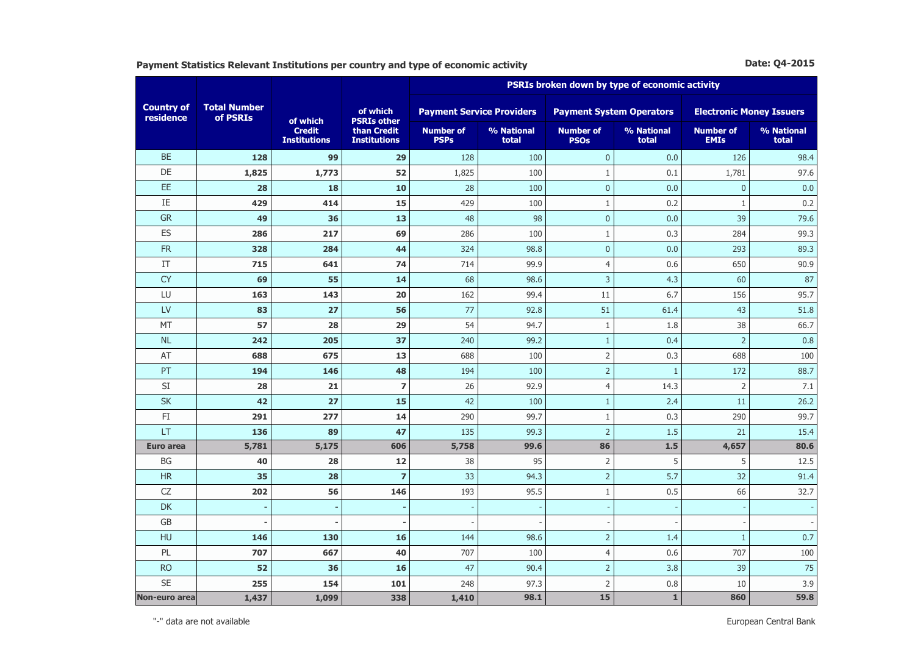**Payment Statistics Relevant Institutions per country and type of economic activity Date: Q4-2015 Date: Q4-2015** 

|                                |                                 |                                      |                                    | PSRIs broken down by type of economic activity |                     |                                 |                     |                                 |                     |  |
|--------------------------------|---------------------------------|--------------------------------------|------------------------------------|------------------------------------------------|---------------------|---------------------------------|---------------------|---------------------------------|---------------------|--|
| <b>Country of</b><br>residence | <b>Total Number</b><br>of PSRIs | of which                             | of which<br><b>PSRIs other</b>     | <b>Payment Service Providers</b>               |                     | <b>Payment System Operators</b> |                     | <b>Electronic Money Issuers</b> |                     |  |
|                                |                                 | <b>Credit</b><br><b>Institutions</b> | than Credit<br><b>Institutions</b> | <b>Number of</b><br><b>PSPs</b>                | % National<br>total | <b>Number of</b><br><b>PSOs</b> | % National<br>total | <b>Number of</b><br><b>EMIs</b> | % National<br>total |  |
| <b>BE</b>                      | 128                             | 99                                   | 29                                 | 128                                            | 100                 | $\mathbf 0$                     | 0.0                 | 126                             | 98.4                |  |
| DE                             | 1,825                           | 1,773                                | 52                                 | 1,825                                          | 100                 | $\mathbf{1}$                    | 0.1                 | 1,781                           | 97.6                |  |
| EE                             | 28                              | 18                                   | 10                                 | 28                                             | 100                 | $\pmb{0}$                       | 0.0                 | $\boldsymbol{0}$                | 0.0                 |  |
| IE                             | 429                             | 414                                  | 15                                 | 429                                            | 100                 | $\mathbf{1}$                    | 0.2                 | $\,1\,$                         | 0.2                 |  |
| GR                             | 49                              | 36                                   | 13                                 | 48                                             | 98                  | $\mathbf{0}$                    | 0.0                 | 39                              | 79.6                |  |
| ES                             | 286                             | 217                                  | 69                                 | 286                                            | 100                 | $1\,$                           | 0.3                 | 284                             | 99.3                |  |
| <b>FR</b>                      | 328                             | 284                                  | 44                                 | 324                                            | 98.8                | $\mathbf{0}$                    | 0.0                 | 293                             | 89.3                |  |
| IT                             | 715                             | 641                                  | 74                                 | 714                                            | 99.9                | $\overline{4}$                  | 0.6                 | 650                             | 90.9                |  |
| <b>CY</b>                      | 69                              | 55                                   | 14                                 | 68                                             | 98.6                | $\overline{3}$                  | 4.3                 | 60                              | 87                  |  |
| LU                             | 163                             | 143                                  | 20                                 | 162                                            | 99.4                | 11                              | 6.7                 | 156                             | 95.7                |  |
| LV                             | 83                              | 27                                   | 56                                 | 77                                             | 92.8                | 51                              | 61.4                | 43                              | 51.8                |  |
| MT                             | 57                              | 28                                   | 29                                 | 54                                             | 94.7                | $\mathbf{1}$                    | 1.8                 | 38                              | 66.7                |  |
| <b>NL</b>                      | 242                             | 205                                  | 37                                 | 240                                            | 99.2                | $\mathbf{1}$                    | 0.4                 | $\overline{2}$                  | 0.8                 |  |
| AT                             | 688                             | 675                                  | 13                                 | 688                                            | 100                 | $\overline{2}$                  | 0.3                 | 688                             | 100                 |  |
| PT                             | 194                             | 146                                  | 48                                 | 194                                            | 100                 | $\overline{2}$                  | $\mathbf{1}$        | 172                             | 88.7                |  |
| SI                             | 28                              | 21                                   | $\overline{\mathbf{z}}$            | 26                                             | 92.9                | $\overline{4}$                  | 14.3                | $\overline{2}$                  | 7.1                 |  |
| <b>SK</b>                      | 42                              | 27                                   | 15                                 | 42                                             | 100                 | $\mathbf{1}$                    | 2.4                 | 11                              | 26.2                |  |
| $\mathsf{F}\mathbf{I}$         | 291                             | 277                                  | 14                                 | 290                                            | 99.7                | $1\,$                           | 0.3                 | 290                             | 99.7                |  |
| LT                             | 136                             | 89                                   | 47                                 | 135                                            | 99.3                | $\overline{2}$                  | 1.5                 | 21                              | 15.4                |  |
| <b>Euro area</b>               | 5,781                           | 5,175                                | 606                                | 5,758                                          | 99.6                | 86                              | 1.5                 | 4,657                           | 80.6                |  |
| <b>BG</b>                      | 40                              | 28                                   | 12                                 | 38                                             | 95                  | $\overline{2}$                  | 5                   | 5                               | 12.5                |  |
| <b>HR</b>                      | 35                              | 28                                   | $\overline{7}$                     | 33                                             | 94.3                | $\overline{2}$                  | 5.7                 | 32                              | 91.4                |  |
| CZ                             | 202                             | 56                                   | 146                                | 193                                            | 95.5                | $1\,$                           | 0.5                 | 66                              | 32.7                |  |
| <b>DK</b>                      |                                 |                                      |                                    |                                                |                     |                                 |                     |                                 |                     |  |
| GB                             |                                 |                                      |                                    |                                                |                     |                                 |                     |                                 |                     |  |
| HU                             | 146                             | 130                                  | 16                                 | 144                                            | 98.6                | $\overline{2}$                  | 1.4                 | $\mathbf{1}$                    | 0.7                 |  |
| PL                             | 707                             | 667                                  | 40                                 | 707                                            | 100                 | $\overline{4}$                  | 0.6                 | 707                             | 100                 |  |
| <b>RO</b>                      | 52                              | 36                                   | 16                                 | 47                                             | 90.4                | $\overline{2}$                  | 3.8                 | 39                              | 75                  |  |
| <b>SE</b>                      | 255                             | 154                                  | 101                                | 248                                            | 97.3                | $\overline{2}$                  | 0.8                 | 10                              | 3.9                 |  |
| Non-euro area                  | 1,437                           | 1,099                                | 338                                | 1,410                                          | 98.1                | 15                              | $\mathbf 1$         | 860                             | 59.8                |  |